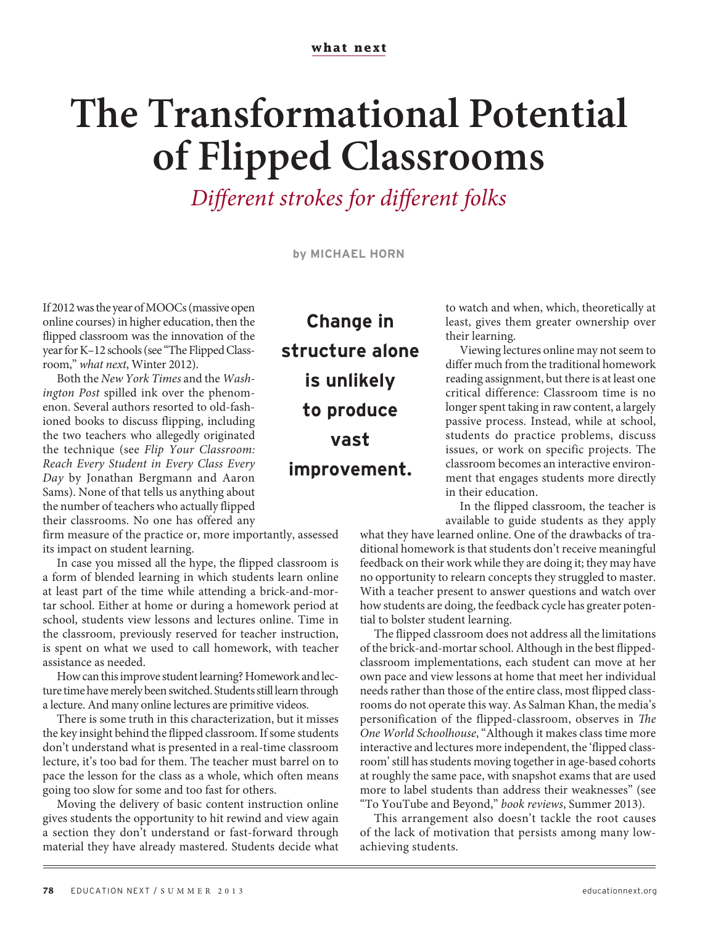## **The Transformational Potential of Flipped Classrooms**

Different strokes for different folks

**by MICHAEL HORN**

If 2012 was the year of MOOCs (massive open online courses) in higher education, then the flipped classroom was the innovation of the year for K–12 schools (see "The Flipped Classroom," what next, Winter 2012).

Both the New York Times and the Washington Post spilled ink over the phenomenon. Several authors resorted to old-fashioned books to discuss flipping, including the two teachers who allegedly originated the technique (see Flip Your Classroom: Reach Every Student in Every Class Every Day by Jonathan Bergmann and Aaron Sams). None of that tells us anything about the number of teachers who actually flipped their classrooms. No one has offered any

firm measure of the practice or, more importantly, assessed its impact on student learning.

In case you missed all the hype, the flipped classroom is a form of blended learning in which students learn online at least part of the time while attending a brick-and-mortar school. Either at home or during a homework period at school, students view lessons and lectures online. Time in the classroom, previously reserved for teacher instruction, is spent on what we used to call homework, with teacher assistance as needed.

How can this improve student learning? Homework and lecture time have merely been switched. Students still learn through a lecture. And many online lectures are primitive videos.

There is some truth in this characterization, but it misses the key insight behind the flipped classroom. If some students don't understand what is presented in a real-time classroom lecture, it's too bad for them. The teacher must barrel on to pace the lesson for the class as a whole, which often means going too slow for some and too fast for others.

Moving the delivery of basic content instruction online gives students the opportunity to hit rewind and view again a section they don't understand or fast-forward through material they have already mastered. Students decide what

**Change in structure alone is unlikely to produce vast improvement.**

to watch and when, which, theoretically at least, gives them greater ownership over their learning.

Viewing lectures online may not seem to differ much from the traditional homework reading assignment, but there is at least one critical difference: Classroom time is no longer spent taking in raw content, a largely passive process. Instead, while at school, students do practice problems, discuss issues, or work on specific projects. The classroom becomes an interactive environment that engages students more directly in their education.

In the flipped classroom, the teacher is available to guide students as they apply

what they have learned online. One of the drawbacks of traditional homework is that students don't receive meaningful feedback on their work while they are doing it; they may have no opportunity to relearn concepts they struggled to master. With a teacher present to answer questions and watch over how students are doing, the feedback cycle has greater potential to bolster student learning.

The flipped classroom does not address all the limitations of the brick-and-mortar school. Although in the best flippedclassroom implementations, each student can move at her own pace and view lessons at home that meet her individual needs rather than those of the entire class, most flipped classrooms do not operate this way. As Salman Khan, the media's personification of the flipped-classroom, observes in The One World Schoolhouse, "Although it makes class time more interactive and lectures more independent, the 'flipped classroom' still has students moving together in age-based cohorts at roughly the same pace, with snapshot exams that are used more to label students than address their weaknesses" (see "To YouTube and Beyond," book reviews, Summer 2013).

This arrangement also doesn't tackle the root causes of the lack of motivation that persists among many lowachieving students.